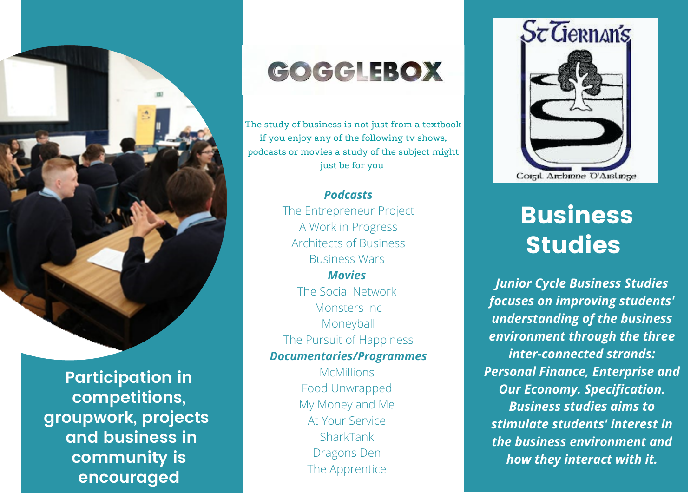

**Participation in competitions, groupwork, projects and business in community is encouraged**

## GOGGLEBOX

The study of business is not just from a textbook if you enjoy any of the following tv shows, podcasts or movies a study of the subject might just be for you

> *Podcasts* The Entrepreneur Project A Work in Progress Architects of Business Business Wars *Movies* The Social Network Monsters Inc Moneyball The Pursuit of Happiness *Documentaries/Programmes* McMillions Food Unwrapped My Money and Me At Your Service SharkTank Dragons Den

> > The Apprentice



## Business Studies

*Junior Cycle Business Studies focuses on improving students' understanding of the business environment through the three inter-connected strands: Personal Finance, Enterprise and Our Economy. Specification. Business studies aims to stimulate students' interest in the business environment and how they interact with it.*